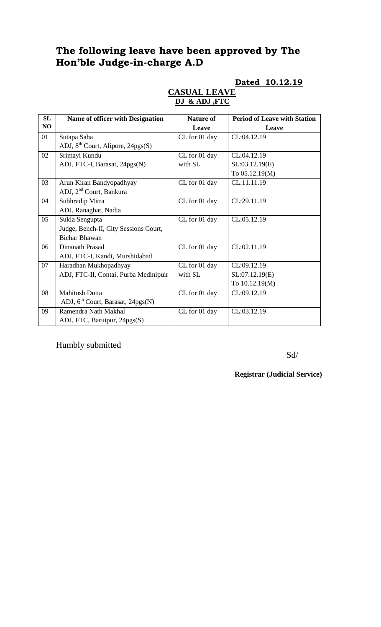# **The following leave have been approved by The Hon'ble Judge-in-charge A.D**

# **Dated 10.12.19**

| SL | <b>Name of officer with Designation</b>       | <b>Nature of</b> | <b>Period of Leave with Station</b> |
|----|-----------------------------------------------|------------------|-------------------------------------|
| NO |                                               | Leave            | Leave                               |
| 01 | Sutapa Saha                                   | CL for 01 day    | CL:04.12.19                         |
|    | ADJ, 8 <sup>th</sup> Court, Alipore, 24pgs(S) |                  |                                     |
| 02 | Srimayi Kundu                                 | CL for 01 day    | CL:04.12.19                         |
|    | ADJ, FTC-I, Barasat, 24pgs(N)                 | with SL          | SL:03.12.19(E)                      |
|    |                                               |                  | To 05.12.19(M)                      |
| 03 | Arun Kiran Bandyopadhyay                      | CL for 01 day    | CL:11.11.19                         |
|    | ADJ, 2 <sup>nd</sup> Court, Bankura           |                  |                                     |
| 04 | Subhradip Mitra                               | CL for 01 day    | CL:29.11.19                         |
|    | ADJ, Ranaghat, Nadia                          |                  |                                     |
| 05 | Sukla Sengupta                                | CL for 01 day    | CL:05.12.19                         |
|    | Judge, Bench-II, City Sessions Court,         |                  |                                     |
|    | <b>Bichar Bhawan</b>                          |                  |                                     |
| 06 | Dinanath Prasad                               | CL for 01 day    | CL:02.11.19                         |
|    | ADJ, FTC-I, Kandi, Murshidabad                |                  |                                     |
| 07 | Haradhan Mukhopadhyay                         | CL for 01 day    | CL:09.12.19                         |
|    | ADJ, FTC-II, Contai, Purba Medinipuir         | with SL          | SL:07.12.19(E)                      |
|    |                                               |                  | To 10.12.19(M)                      |
| 08 | <b>Mahitosh Dutta</b>                         | CL for 01 day    | CL:09.12.19                         |
|    | ADJ, 6 <sup>th</sup> Court, Barasat, 24pgs(N) |                  |                                     |
| 09 | Ramendra Nath Makhal                          | CL for 01 day    | CL:03.12.19                         |
|    | ADJ, FTC, Baruipur, 24pgs(S)                  |                  |                                     |

# **CASUAL LEAVE DJ & ADJ ,FTC**

Humbly submitted

Sd/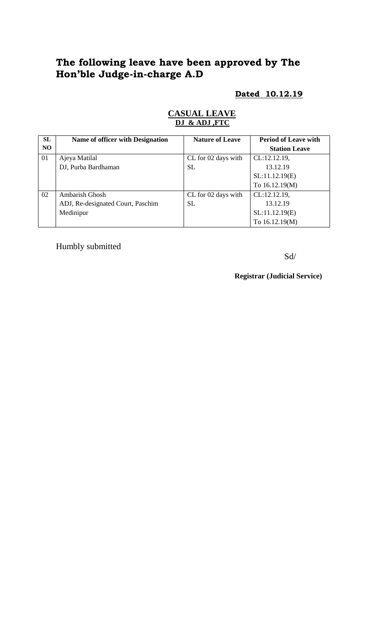# **The following leave have been approved by The Hon'ble Judge-in-charge A.D**

# **Dated 10.12.19**

# **CASUAL LEAVE DJ & ADJ ,FTC**

| SL  | Name of officer with Designation  | <b>Nature of Leave</b> | <b>Period of Leave with</b> |
|-----|-----------------------------------|------------------------|-----------------------------|
| NO. |                                   |                        | <b>Station Leave</b>        |
| 01  | Ajeya Matilal                     | CL for 02 days with    | CL:12.12.19,                |
|     | DJ, Purba Bardhaman               | <b>SL</b>              | 13.12.19                    |
|     |                                   |                        | SL:11.12.19(E)              |
|     |                                   |                        | To 16.12.19(M)              |
| 02  | Ambarish Ghosh                    | CL for 02 days with    | CL:12.12.19,                |
|     | ADJ, Re-designated Court, Paschim | <b>SL</b>              | 13.12.19                    |
|     | Medinipur                         |                        | SL:11.12.19(E)              |
|     |                                   |                        | To 16.12.19(M)              |

Humbly submitted

Sd/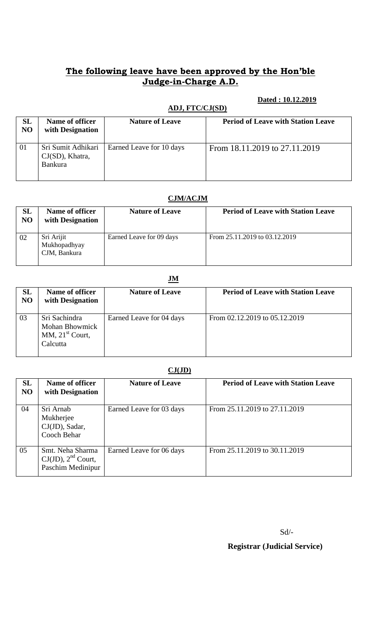# **The following leave have been approved by the Hon'ble Judge-in-Charge A.D.**

### **Dated : 10.12.2019**

|          | ADJ, FTC/CJ(SD)                                            |                          |                                           |
|----------|------------------------------------------------------------|--------------------------|-------------------------------------------|
| SL<br>NO | Name of officer<br>with Designation                        | <b>Nature of Leave</b>   | <b>Period of Leave with Station Leave</b> |
| 01       | Sri Sumit Adhikari<br>$CJ(SD)$ , Khatra,<br><b>Bankura</b> | Earned Leave for 10 days | From 18.11.2019 to 27.11.2019             |

#### **CJM/ACJM**

| SL<br>N <sub>O</sub> | Name of officer<br>with Designation        | <b>Nature of Leave</b>   | <b>Period of Leave with Station Leave</b> |
|----------------------|--------------------------------------------|--------------------------|-------------------------------------------|
| 02                   | Sri Arijit<br>Mukhopadhyay<br>CJM, Bankura | Earned Leave for 09 days | From 25.11.2019 to 03.12.2019             |

# **JM**

| SL<br>NO | <b>Name of officer</b><br>with Designation                              | <b>Nature of Leave</b>   | <b>Period of Leave with Station Leave</b> |
|----------|-------------------------------------------------------------------------|--------------------------|-------------------------------------------|
| 03       | Sri Sachindra<br><b>Mohan Bhowmick</b><br>MM, $21st$ Court,<br>Calcutta | Earned Leave for 04 days | From 02.12.2019 to 05.12.2019             |

# **CJ(JD)**

| SL<br>N <sub>O</sub> | Name of officer<br>with Designation                              | <b>Nature of Leave</b>   | <b>Period of Leave with Station Leave</b> |
|----------------------|------------------------------------------------------------------|--------------------------|-------------------------------------------|
| 04                   | Sri Arnab<br>Mukherjee<br>CJ(JD), Sadar,<br>Cooch Behar          | Earned Leave for 03 days | From 25.11.2019 to 27.11.2019             |
| 05                   | Smt. Neha Sharma<br>$CJ(JD)$ , $2nd$ Court,<br>Paschim Medinipur | Earned Leave for 06 days | From 25.11.2019 to 30.11.2019             |

Sd/-